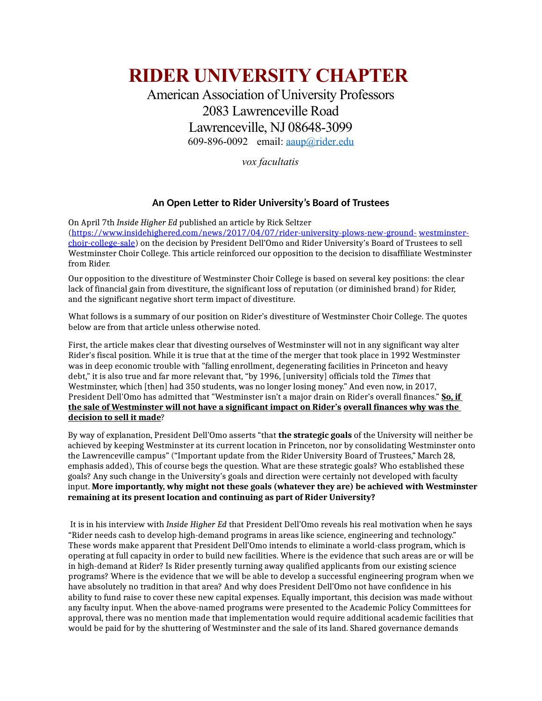# **RIDER UNIVERSITY CHAPTER**

## American Association of University Professors 2083 Lawrenceville Road Lawrenceville, NJ 08648-3099 609-896-0092 email: [aaup@rider.edu](mailto:aaup@rider.edu)

*vox facultatis*

### **An Open Letter to Rider University's Board of Trustees**

On April 7th *Inside Higher Ed* published an article by Rick Seltzer [\(https://www.insidehighered.com/news/2017/04/07/rider-university-plows-new-ground-](https://www.insidehighered.com/news/2017/04/07/rider-university-plows-new-ground-westminster-choir-college-sale) [westminster](https://www.insidehighered.com/news/2017/04/07/rider-university-plows-new-ground-westminster-choir-college-sale)[choir-college-sale\)](https://www.insidehighered.com/news/2017/04/07/rider-university-plows-new-ground-westminster-choir-college-sale) on the decision by President Dell'Omo and Rider University's Board of Trustees to sell Westminster Choir College. This article reinforced our opposition to the decision to disaffiliate Westminster from Rider.

Our opposition to the divestiture of Westminster Choir College is based on several key positions: the clear lack of financial gain from divestiture, the significant loss of reputation (or diminished brand) for Rider, and the significant negative short term impact of divestiture.

What follows is a summary of our position on Rider's divestiture of Westminster Choir College. The quotes below are from that article unless otherwise noted.

First, the article makes clear that divesting ourselves of Westminster will not in any significant way alter Rider's fiscal position. While it is true that at the time of the merger that took place in 1992 Westminster was in deep economic trouble with "falling enrollment, degenerating facilities in Princeton and heavy debt," it is also true and far more relevant that, "by 1996, [university] officials told the *Times* that Westminster, which [then] had 350 students, was no longer losing money." And even now, in 2017, President Dell'Omo has admitted that "Westminster isn't a major drain on Rider's overall finances." **So, if the sale of Westminster will not have a significant impact on Rider's overall finances why was the decision to sell it made**?

By way of explanation, President Dell'Omo asserts "that **the strategic goals** of the University will neither be achieved by keeping Westminster at its current location in Princeton, nor by consolidating Westminster onto the Lawrenceville campus" ("Important update from the Rider University Board of Trustees," March 28, emphasis added), This of course begs the question. What are these strategic goals? Who established these goals? Any such change in the University's goals and direction were certainly not developed with faculty input. **More importantly, why might not these goals (whatever they are) be achieved with Westminster remaining at its present location and continuing as part of Rider University?**

 It is in his interview with *Inside Higher Ed* that President Dell'Omo reveals his real motivation when he says "Rider needs cash to develop high-demand programs in areas like science, engineering and technology." These words make apparent that President Dell'Omo intends to eliminate a world-class program, which is operating at full capacity in order to build new facilities. Where is the evidence that such areas are or will be in high-demand at Rider? Is Rider presently turning away qualified applicants from our existing science programs? Where is the evidence that we will be able to develop a successful engineering program when we have absolutely no tradition in that area? And why does President Dell'Omo not have confidence in his ability to fund raise to cover these new capital expenses. Equally important, this decision was made without any faculty input. When the above-named programs were presented to the Academic Policy Committees for approval, there was no mention made that implementation would require additional academic facilities that would be paid for by the shuttering of Westminster and the sale of its land. Shared governance demands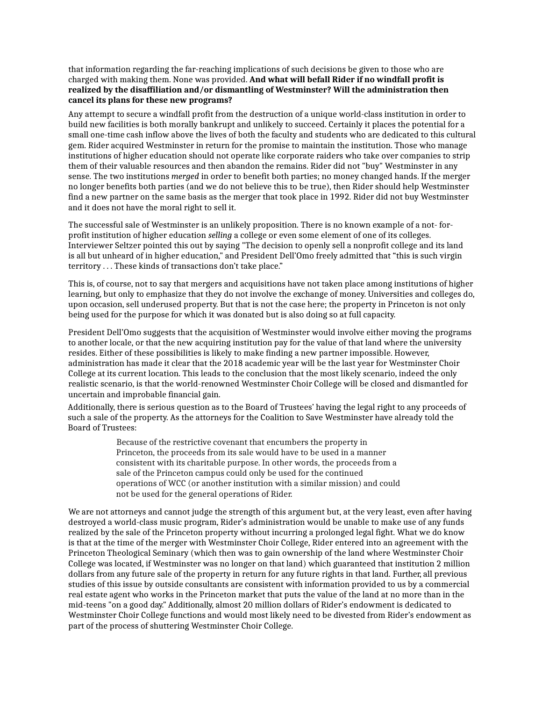that information regarding the far-reaching implications of such decisions be given to those who are charged with making them. None was provided. **And what will befall Rider if no windfall profit is realized by the disaffiliation and/or dismantling of Westminster? Will the administration then cancel its plans for these new programs?**

Any attempt to secure a windfall profit from the destruction of a unique world-class institution in order to build new facilities is both morally bankrupt and unlikely to succeed. Certainly it places the potential for a small one-time cash inflow above the lives of both the faculty and students who are dedicated to this cultural gem. Rider acquired Westminster in return for the promise to maintain the institution. Those who manage institutions of higher education should not operate like corporate raiders who take over companies to strip them of their valuable resources and then abandon the remains. Rider did not "buy" Westminster in any sense. The two institutions *merged* in order to benefit both parties; no money changed hands. If the merger no longer benefits both parties (and we do not believe this to be true), then Rider should help Westminster find a new partner on the same basis as the merger that took place in 1992. Rider did not buy Westminster and it does not have the moral right to sell it.

The successful sale of Westminster is an unlikely proposition. There is no known example of a not- forprofit institution of higher education *selling* a college or even some element of one of its colleges. Interviewer Seltzer pointed this out by saying "The decision to openly sell a nonprofit college and its land is all but unheard of in higher education," and President Dell'Omo freely admitted that "this is such virgin territory . . . These kinds of transactions don't take place."

This is, of course, not to say that mergers and acquisitions have not taken place among institutions of higher learning, but only to emphasize that they do not involve the exchange of money. Universities and colleges do, upon occasion, sell underused property. But that is not the case here; the property in Princeton is not only being used for the purpose for which it was donated but is also doing so at full capacity.

President Dell'Omo suggests that the acquisition of Westminster would involve either moving the programs to another locale, or that the new acquiring institution pay for the value of that land where the university resides. Either of these possibilities is likely to make finding a new partner impossible. However, administration has made it clear that the 2018 academic year will be the last year for Westminster Choir College at its current location. This leads to the conclusion that the most likely scenario, indeed the only realistic scenario, is that the world-renowned Westminster Choir College will be closed and dismantled for uncertain and improbable financial gain.

Additionally, there is serious question as to the Board of Trustees' having the legal right to any proceeds of such a sale of the property. As the attorneys for the Coalition to Save Westminster have already told the Board of Trustees:

> Because of the restrictive covenant that encumbers the property in Princeton, the proceeds from its sale would have to be used in a manner consistent with its charitable purpose. In other words, the proceeds from a sale of the Princeton campus could only be used for the continued operations of WCC (or another institution with a similar mission) and could not be used for the general operations of Rider.

We are not attorneys and cannot judge the strength of this argument but, at the very least, even after having destroyed a world-class music program, Rider's administration would be unable to make use of any funds realized by the sale of the Princeton property without incurring a prolonged legal fight. What we do know is that at the time of the merger with Westminster Choir College, Rider entered into an agreement with the Princeton Theological Seminary (which then was to gain ownership of the land where Westminster Choir College was located, if Westminster was no longer on that land) which guaranteed that institution 2 million dollars from any future sale of the property in return for any future rights in that land. Further, all previous studies of this issue by outside consultants are consistent with information provided to us by a commercial real estate agent who works in the Princeton market that puts the value of the land at no more than in the mid-teens "on a good day." Additionally, almost 20 million dollars of Rider's endowment is dedicated to Westminster Choir College functions and would most likely need to be divested from Rider's endowment as part of the process of shuttering Westminster Choir College.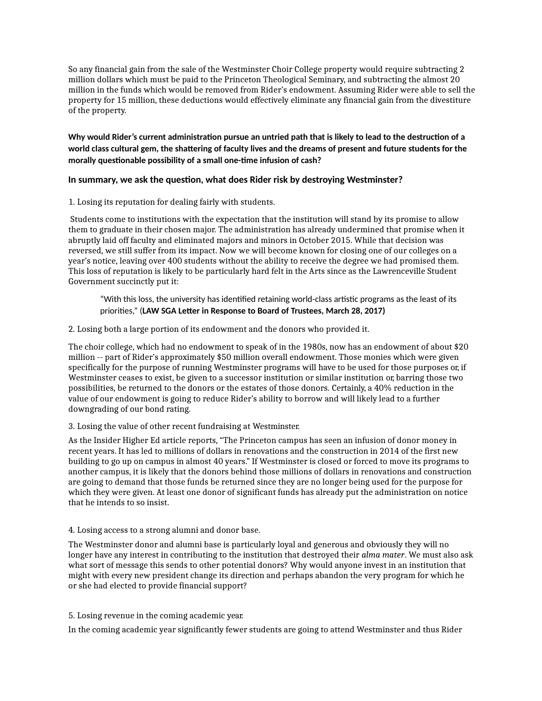So any financial gain from the sale of the Westminster Choir College property would require subtracting 2 million dollars which must be paid to the Princeton Theological Seminary, and subtracting the almost 20 million in the funds which would be removed from Rider's endowment. Assuming Rider were able to sell the property for 15 million, these deductions would effectively eliminate any financial gain from the divestiture of the property.

**Why would Rider's current administration pursue an untried path that is likely to lead to the destruction of a world class cultural gem, the shattering of faculty lives and the dreams of present and future students for the morally questionable possibility of a small one-time infusion of cash?**

#### **In summary, we ask the question, what does Rider risk by destroying Westminster?**

1. Losing its reputation for dealing fairly with students.

Students come to institutions with the expectation that the institution will stand by its promise to allow them to graduate in their chosen major. The administration has already undermined that promise when it abruptly laid off faculty and eliminated majors and minors in October 2015. While that decision was reversed, we still suffer from its impact. Now we will become known for closing one of our colleges on a year's notice, leaving over 400 students without the ability to receive the degree we had promised them. This loss of reputation is likely to be particularly hard felt in the Arts since as the Lawrenceville Student Government succinctly put it:

"With this loss, the university has identified retaining world-class artistic programs as the least of its priorities," (**LAW SGA Letter in Response to Board of Trustees, March 28, 2017)**

2. Losing both a large portion of its endowment and the donors who provided it.

The choir college, which had no endowment to speak of in the 1980s, now has an endowment of about \$20 million -- part of Rider's approximately \$50 million overall endowment. Those monies which were given specifically for the purpose of running Westminster programs will have to be used for those purposes or, if Westminster ceases to exist, be given to a successor institution or similar institution or, barring those two possibilities, be returned to the donors or the estates of those donors. Certainly, a 40% reduction in the value of our endowment is going to reduce Rider's ability to borrow and will likely lead to a further downgrading of our bond rating.

3. Losing the value of other recent fundraising at Westminster.

As the Insider Higher Ed article reports, "The Princeton campus has seen an infusion of donor money in recent years. It has led to millions of dollars in renovations and the construction in 2014 of the first new building to go up on campus in almost 40 years." If Westminster is closed or forced to move its programs to another campus, it is likely that the donors behind those millions of dollars in renovations and construction are going to demand that those funds be returned since they are no longer being used for the purpose for which they were given. At least one donor of significant funds has already put the administration on notice that he intends to so insist.

#### 4. Losing access to a strong alumni and donor base.

The Westminster donor and alumni base is particularly loyal and generous and obviously they will no longer have any interest in contributing to the institution that destroyed their *alma mater*. We must also ask what sort of message this sends to other potential donors? Why would anyone invest in an institution that might with every new president change its direction and perhaps abandon the very program for which he or she had elected to provide financial support?

#### 5. Losing revenue in the coming academic year.

In the coming academic year significantly fewer students are going to attend Westminster and thus Rider